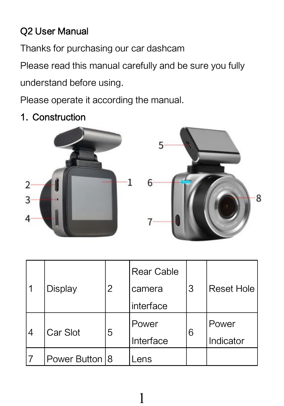### Q2 User Manual

Thanks for purchasing our car dashcam

Please read this manual carefully and be sure you fully

understand before using.

Please operate it according the manual.

1. Construction



| 11 | Display        | 2 | Rear Cable | 3 |                   |
|----|----------------|---|------------|---|-------------------|
|    |                |   | camera     |   | <b>Reset Hole</b> |
|    |                |   | interface  |   |                   |
| 14 | Car Slot       | 5 | Power      | 6 | Power             |
|    |                |   | Interface  |   | Indicator         |
|    | Power Button 8 |   | ens        |   |                   |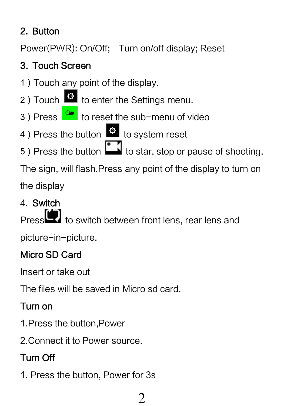## 2. Button

Power(PWR): On/Off; Turn on/off display; Reset

# 3. Touch Screen

- 1)Touch any point of the display.
- 2) Touch  $\bullet$  to enter the Settings menu.
- 3) Press **or** to reset the sub-menu of video
- 4) Press the button **to** to system reset
- 5) Press the button **the star, stop or pause of shooting.**

The sign, will flash.Press any point of the display to turn on

the display

# 4. Switch

to switch between front lens, rear lens and

picture-in-picture.

#### Micro SD Card

Insert or take out

The files will be saved in Micro sd card.

# Turn on

- 1.Press the button,Power
- 2.Connect it to Power source.

# Turn Off

1. Press the button, Power for 3s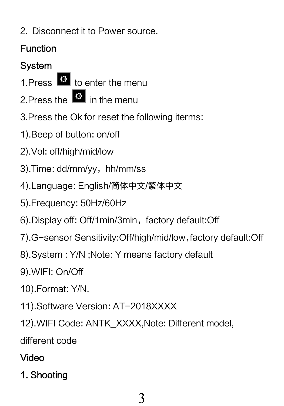2. Disconnect it to Power source.

# Function

### System

1.Press <sup>®</sup> to enter the menu

- 2. Press the  $\ddot{\bullet}$  in the menu
- 3.Press the Ok for reset the following iterms:
- 1).Beep of button: on/off
- 2).Vol: off/high/mid/low
- 3). Time: dd/mm/vv, hh/mm/ss
- 4).Language: English/简体中文/繁体中文
- 5).Frequency: 50Hz/60Hz
- 6).Display off: Off/1min/3min, factory default:Off
- 7).G-sensor Sensitivity:Off/high/mid/low,factory default:Off
- 8).System : Y/N ;Note: Y means factory default
- 9).WIFI: On/Off
- 10).Format: Y/N.
- 11).Software Version: AT-2018XXXX
- 12).WIFI Code: ANTK\_XXXX,Note: Different model,

different code

### Video

1. Shooting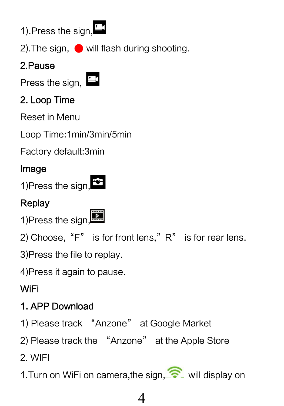

2). The sign,  $\bullet$  will flash during shooting.

#### 2.Pause

Press the sign,  $\mathbf{B}$ 

## 2. Loop Time

Reset in Menu

Loop Time:1min/3min/5min

Factory default:3min

#### Image

1)Press the sign,

# **Replay**

1)Press the sign.

2) Choose, "F" is for front lens,"  $R$ " is for rear lens.

3)Press the file to replay.

4)Press it again to pause.

# WiFi

# 1. APP Download

1) Please track "Anzone" at Google Market

2) Please track the "Anzone" at the Apple Store

2. WIFI

1. Turn on WiFi on camera, the sign,  $\widehat{\mathcal{F}}$  will display on